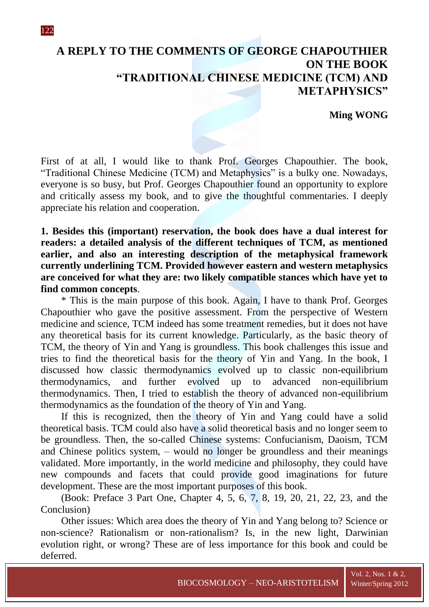# **A REPLY TO THE COMMENTS OF GEORGE CHAPOUTHIER ON THE BOOK "TRADITIONAL CHINESE MEDICINE (TCM) AND METAPHYSICS"**

### **Ming WONG**

First of at all, I would like to thank Prof. Georges Chapouthier. The book, "Traditional Chinese Medicine (TCM) and Metaphysics" is a bulky one. Nowadays, everyone is so busy, but Prof. Georges Chapouthier found an opportunity to explore and critically assess my book, and to give the thoughtful commentaries. I deeply appreciate his relation and cooperation.

### **1. Besides this (important) reservation, the book does have a dual interest for readers: a detailed analysis of the different techniques of TCM, as mentioned earlier, and also an interesting description of the metaphysical framework currently underlining TCM. Provided however eastern and western metaphysics are conceived for what they are: two likely compatible stances which have yet to find common concepts**.

\* This is the main purpose of this book. Again, I have to thank Prof. Georges Chapouthier who gave the positive assessment. From the perspective of Western medicine and science, TCM indeed has some treatment remedies, but it does not have any theoretical basis for its current knowledge. Particularly, as the basic theory of TCM, the theory of Yin and Yang is groundless. This book challenges this issue and tries to find the theoretical basis for the theory of Yin and Yang. In the book, I discussed how classic thermodynamics evolved up to classic non-equilibrium thermodynamics, and further evolved up to advanced non-equilibrium thermodynamics. Then, I tried to establish the theory of advanced non-equilibrium thermodynamics as the foundation of the theory of Yin and Yang.

If this is recognized, then the theory of Yin and Yang could have a solid theoretical basis. TCM could also have a solid theoretical basis and no longer seem to be groundless. Then, the so-called Chinese systems: Confucianism, Daoism, TCM and Chinese politics system, – would no longer be groundless and their meanings validated. More importantly, in the world medicine and philosophy, they could have new compounds and facets that could provide good imaginations for future development. These are the most important purposes of this book.

(Book: Preface 3 Part One, Chapter 4, 5, 6, 7, 8, 19, 20, 21, 22, 23, and the Conclusion)

Other issues: Which area does the theory of Yin and Yang belong to? Science or non-science? Rationalism or non-rationalism? Is, in the new light, Darwinian evolution right, or wrong? These are of less importance for this book and could be deferred.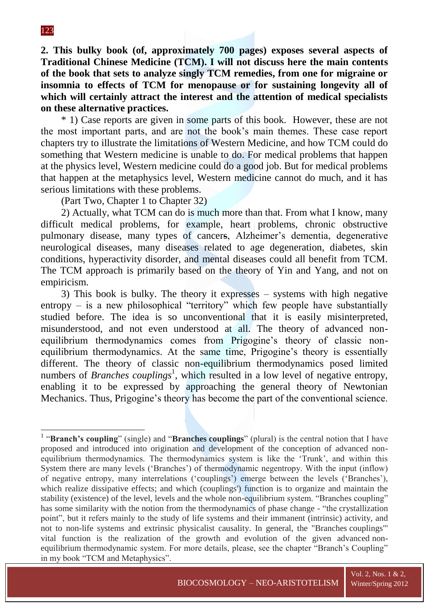**2. This bulky book (of, approximately 700 pages) exposes several aspects of Traditional Chinese Medicine (TCM). I will not discuss here the main contents of the book that sets to analyze singly TCM remedies, from one for migraine or insomnia to effects of TCM for menopause or for sustaining longevity all of which will certainly attract the interest and the attention of medical specialists on these alternative practices.** 

\* 1) Case reports are given in some parts of this book. However, these are not the most important parts, and are not the book"s main themes. These case report chapters try to illustrate the limitations of Western Medicine, and how TCM could do something that Western medicine is unable to do. For medical problems that happen at the physics level, Western medicine could do a good job. But for medical problems that happen at the metaphysics level, Western medicine cannot do much, and it has serious limitations with these problems.

(Part Two, Chapter 1 to Chapter 32)

2) Actually, what TCM can do is much more than that. From what I know, many difficult medical problems, for example, heart problems, chronic obstructive pulmonary disease, many types of cancers, Alzheimer"s dementia, degenerative neurological diseases, many diseases related to age degeneration, diabetes, skin conditions, hyperactivity disorder, and mental diseases could all benefit from TCM. The TCM approach is primarily based on the theory of Yin and Yang, and not on empiricism.

3) This book is bulky. The theory it expresses – systems with high negative entropy – is a new philosophical "territory" which few people have substantially studied before. The idea is so unconventional that it is easily misinterpreted, misunderstood, and not even understood at all. The theory of advanced nonequilibrium thermodynamics comes from Prigogine"s theory of classic nonequilibrium thermodynamics. At the same time, Prigogine's theory is essentially different. The theory of classic non-equilibrium thermodynamics posed limited numbers of *Branches couplings*<sup>1</sup>, which resulted in a low level of negative entropy, enabling it to be expressed by approaching the general theory of Newtonian Mechanics. Thus, Prigogine's theory has become the part of the conventional science.

 $\overline{a}$ 

Vol. 2, Nos. 1 & 2,

<sup>&</sup>lt;sup>1</sup> "Branch's coupling" (single) and "Branches couplings" (plural) is the central notion that I have proposed and introduced into origination and development of the conception of advanced nonequilibrium thermodynamics. The thermodynamics system is like the "Trunk", and within this System there are many levels ("Branches") of thermodynamic negentropy. With the input (inflow) of negative entropy, many interrelations ("couplings") emerge between the levels ("Branches"), which realize dissipative effects; and which (couplings') function is to organize and maintain the stability (existence) of the level, levels and the whole non-equilibrium system. "Branches coupling" has some similarity with the notion from the thermodynamics of phase change - "the crystallization point", but it refers mainly to the study of life systems and their immanent (intrinsic) activity, and not to non-life systems and extrinsic physicalist causality. In general, the "Branches couplings'" vital function is the realization of the growth and evolution of the given advanced nonequilibrium thermodynamic system. For more details, please, see the chapter "Branch's Coupling" in my book "TCM and Metaphysics".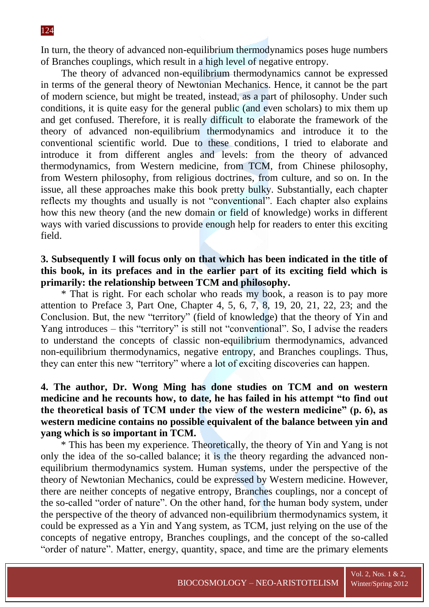In turn, the theory of advanced non-equilibrium thermodynamics poses huge numbers of Branches couplings, which result in a high level of negative entropy.

The theory of advanced non-equilibrium thermodynamics cannot be expressed in terms of the general theory of Newtonian Mechanics. Hence, it cannot be the part of modern science, but might be treated, instead, as a part of philosophy. Under such conditions, it is quite easy for the general public (and even scholars) to mix them up and get confused. Therefore, it is really difficult to elaborate the framework of the theory of advanced non-equilibrium thermodynamics and introduce it to the conventional scientific world. Due to these conditions, I tried to elaborate and introduce it from different angles and levels: from the theory of advanced thermodynamics, from Western medicine, from TCM, from Chinese philosophy, from Western philosophy, from religious doctrines, from culture, and so on. In the issue, all these approaches make this book pretty bulky. Substantially, each chapter reflects my thoughts and usually is not "conventional". Each chapter also explains how this new theory (and the new domain or field of knowledge) works in different ways with varied discussions to provide enough help for readers to enter this exciting field.

### **3. Subsequently I will focus only on that which has been indicated in the title of this book, in its prefaces and in the earlier part of its exciting field which is primarily: the relationship between TCM and philosophy.**

\* That is right. For each scholar who reads my book, a reason is to pay more attention to Preface 3, Part One, Chapter 4, 5, 6, 7, 8, 19, 20, 21, 22, 23; and the Conclusion. But, the new "territory" (field of knowledge) that the theory of Yin and Yang introduces – this "territory" is still not "conventional". So, I advise the readers to understand the concepts of classic non-equilibrium thermodynamics, advanced non-equilibrium thermodynamics, negative entropy, and Branches couplings. Thus, they can enter this new "territory" where a lot of exciting discoveries can happen.

### **4. The author, Dr. Wong Ming has done studies on TCM and on western medicine and he recounts how, to date, he has failed in his attempt "to find out the theoretical basis of TCM under the view of the western medicine" (p. 6), as western medicine contains no possible equivalent of the balance between yin and yang which is so important in TCM.**

\* This has been my experience. Theoretically, the theory of Yin and Yang is not only the idea of the so-called balance; it is the theory regarding the advanced nonequilibrium thermodynamics system. Human systems, under the perspective of the theory of Newtonian Mechanics, could be expressed by Western medicine. However, there are neither concepts of negative entropy, Branches couplings, nor a concept of the so-called "order of nature". On the other hand, for the human body system, under the perspective of the theory of advanced non-equilibrium thermodynamics system, it could be expressed as a Yin and Yang system, as TCM, just relying on the use of the concepts of negative entropy, Branches couplings, and the concept of the so-called "order of nature". Matter, energy, quantity, space, and time are the primary elements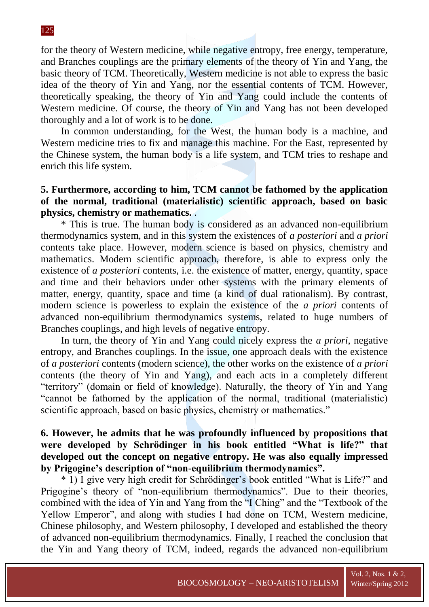for the theory of Western medicine, while negative entropy, free energy, temperature, and Branches couplings are the primary elements of the theory of Yin and Yang, the basic theory of TCM. Theoretically, Western medicine is not able to express the basic idea of the theory of Yin and Yang, nor the essential contents of TCM. However, theoretically speaking, the theory of Yin and Yang could include the contents of Western medicine. Of course, the theory of Yin and Yang has not been developed thoroughly and a lot of work is to be done.

In common understanding, for the West, the human body is a machine, and Western medicine tries to fix and manage this machine. For the East, represented by the Chinese system, the human body is a life system, and TCM tries to reshape and enrich this life system.

### **5. Furthermore, according to him, TCM cannot be fathomed by the application of the normal, traditional (materialistic) scientific approach, based on basic physics, chemistry or mathematics.** .

\* This is true. The human body is considered as an advanced non-equilibrium thermodynamics system, and in this system the existences of *a posteriori* and *a priori* contents take place. However, modern science is based on physics, chemistry and mathematics. Modern scientific approach, therefore, is able to express only the existence of *a posteriori* contents, i.e. the existence of matter, energy, quantity, space and time and their behaviors under other systems with the primary elements of matter, energy, quantity, space and time (a kind of dual rationalism). By contrast, modern science is powerless to explain the existence of the *a priori* contents of advanced non-equilibrium thermodynamics systems, related to huge numbers of Branches couplings, and high levels of negative entropy.

In turn, the theory of Yin and Yang could nicely express the *a priori*, negative entropy, and Branches couplings. In the issue, one approach deals with the existence of *a posteriori* contents (modern science), the other works on the existence of *a priori* contents (the theory of Yin and Yang), and each acts in a completely different "territory" (domain or field of knowledge). Naturally, the theory of Yin and Yang "cannot be fathomed by the application of the normal, traditional (materialistic) scientific approach, based on basic physics, chemistry or mathematics."

### **6. However, he admits that he was profoundly influenced by propositions that were developed by Schrödinger in his book entitled "What is life?" that developed out the concept on negative entropy. He was also equally impressed by Prigogine"s description of "non-equilibrium thermodynamics".**

\* 1) I give very high credit for Schrödinger"s book entitled "What is Life?" and Prigogine's theory of "non-equilibrium thermodynamics". Due to their theories, combined with the idea of Yin and Yang from the "I Ching" and the "Textbook of the Yellow Emperor", and along with studies I had done on TCM, Western medicine, Chinese philosophy, and Western philosophy, I developed and established the theory of advanced non-equilibrium thermodynamics. Finally, I reached the conclusion that the Yin and Yang theory of TCM, indeed, regards the advanced non-equilibrium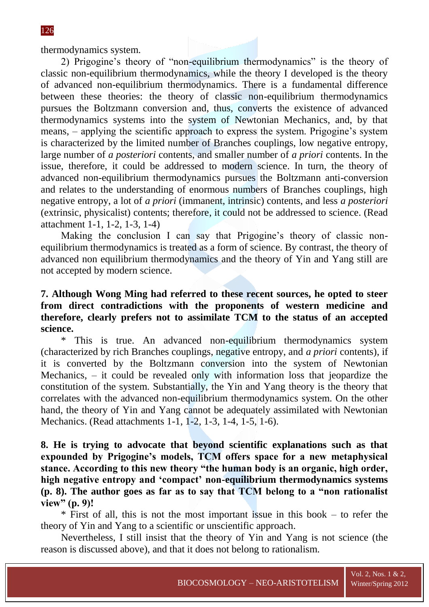thermodynamics system.

2) Prigogine"s theory of "non-equilibrium thermodynamics" is the theory of classic non-equilibrium thermodynamics, while the theory I developed is the theory of advanced non-equilibrium thermodynamics. There is a fundamental difference between these theories: the theory of classic non-equilibrium thermodynamics pursues the Boltzmann conversion and, thus, converts the existence of advanced thermodynamics systems into the system of Newtonian Mechanics, and, by that means, – applying the scientific approach to express the system. Prigogine"s system is characterized by the limited number of Branches couplings, low negative entropy, large number of *a posteriori* contents, and smaller number of *a priori* contents. In the issue, therefore, it could be addressed to modern science. In turn, the theory of advanced non-equilibrium thermodynamics pursues the Boltzmann anti-conversion and relates to the understanding of enormous numbers of Branches couplings, high negative entropy, a lot of *a priori* (immanent, intrinsic) contents, and less *a posteriori* (extrinsic, physicalist) contents; therefore, it could not be addressed to science. (Read attachment 1-1, 1-2, 1-3, 1-4)

Making the conclusion I can say that Prigogine's theory of classic nonequilibrium thermodynamics is treated as a form of science. By contrast, the theory of advanced non equilibrium thermodynamics and the theory of Yin and Yang still are not accepted by modern science.

### **7. Although Wong Ming had referred to these recent sources, he opted to steer from direct contradictions with the proponents of western medicine and therefore, clearly prefers not to assimilate TCM to the status of an accepted science.**

This is true. An advanced non-equilibrium thermodynamics system (characterized by rich Branches couplings, negative entropy, and *a priori* contents), if it is converted by the Boltzmann conversion into the system of Newtonian Mechanics, – it could be revealed only with information loss that jeopardize the constitution of the system. Substantially, the Yin and Yang theory is the theory that correlates with the advanced non-equilibrium thermodynamics system. On the other hand, the theory of Yin and Yang cannot be adequately assimilated with Newtonian Mechanics. (Read attachments 1-1, 1-2, 1-3, 1-4, 1-5, 1-6).

**8. He is trying to advocate that beyond scientific explanations such as that** expounded by Prigogine's models, TCM offers space for a new metaphysical **stance. According to this new theory "the human body is an organic, high order, high negative entropy and "compact" non-equilibrium thermodynamics systems (p. 8). The author goes as far as to say that TCM belong to a "non rationalist view" (p. 9)!** 

\* First of all, this is not the most important issue in this book – to refer the theory of Yin and Yang to a scientific or unscientific approach.

Nevertheless, I still insist that the theory of Yin and Yang is not science (the reason is discussed above), and that it does not belong to rationalism.

#### 126

Vol. 2, Nos. 1 & 2,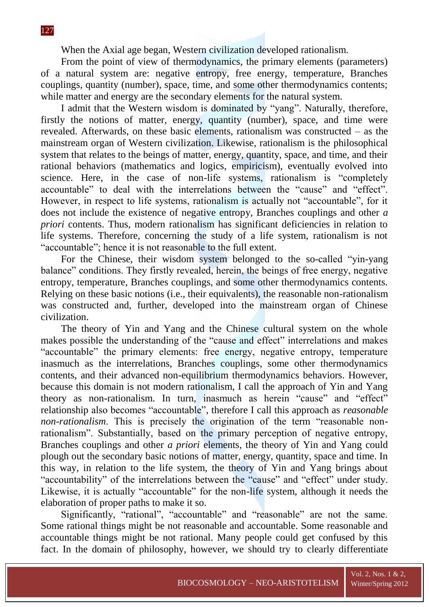When the Axial age began, Western civilization developed rationalism.

From the point of view of thermodynamics, the primary elements (parameters) of a natural system are: negative entropy, free energy, temperature, Branches couplings, quantity (number), space, time, and some other thermodynamics contents; while matter and energy are the secondary elements for the natural system.

I admit that the Western wisdom is dominated by "yang". Naturally, therefore, firstly the notions of matter, energy, quantity (number), space, and time were revealed. Afterwards, on these basic elements, rationalism was constructed – as the mainstream organ of Western civilization. Likewise, rationalism is the philosophical system that relates to the beings of matter, energy, quantity, space, and time, and their rational behaviors (mathematics and logics, empiricism), eventually evolved into science. Here, in the case of non-life systems, rationalism is "completely accountable" to deal with the interrelations between the "cause" and "effect". However, in respect to life systems, rationalism is actually not "accountable", for it does not include the existence of negative entropy, Branches couplings and other *a priori* contents. Thus, modern rationalism has significant deficiencies in relation to life systems. Therefore, concerning the study of a life system, rationalism is not "accountable"; hence it is not reasonable to the full extent.

For the Chinese, their wisdom system belonged to the so-called "yin-yang balance" conditions. They firstly revealed, herein, the beings of free energy, negative entropy, temperature, Branches couplings, and some other thermodynamics contents. Relying on these basic notions (i.e., their equivalents), the reasonable non-rationalism was constructed and, further, developed into the mainstream organ of Chinese civilization.

The theory of Yin and Yang and the Chinese cultural system on the whole makes possible the understanding of the "cause and effect" interrelations and makes "accountable" the primary elements: free energy, negative entropy, temperature inasmuch as the interrelations, Branches couplings, some other thermodynamics contents, and their advanced non-equilibrium thermodynamics behaviors. However, because this domain is not modern rationalism, I call the approach of Yin and Yang theory as non-rationalism. In turn, inasmuch as herein "cause" and "effect" relationship also becomes "accountable", therefore I call this approach as *reasonable non-rationalism*. This is precisely the origination of the term "reasonable nonrationalism". Substantially, based on the primary perception of negative entropy, Branches couplings and other *a priori* elements, the theory of Yin and Yang could plough out the secondary basic notions of matter, energy, quantity, space and time. In this way, in relation to the life system, the theory of Yin and Yang brings about "accountability" of the interrelations between the "cause" and "effect" under study. Likewise, it is actually "accountable" for the non-life system, although it needs the elaboration of proper paths to make it so.

Significantly, "rational", "accountable" and "reasonable" are not the same. Some rational things might be not reasonable and accountable. Some reasonable and accountable things might be not rational. Many people could get confused by this fact. In the domain of philosophy, however, we should try to clearly differentiate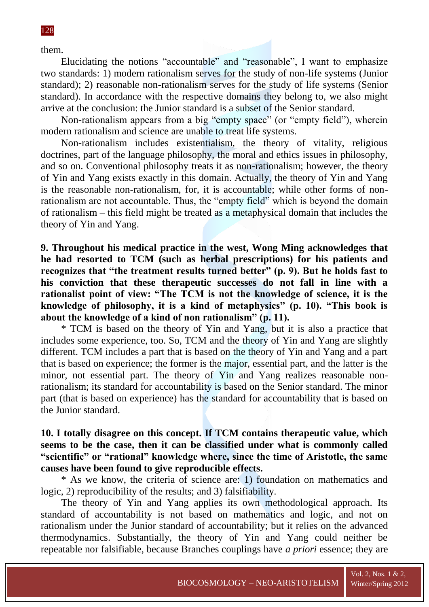them.

Elucidating the notions "accountable" and "reasonable", I want to emphasize two standards: 1) modern rationalism serves for the study of non-life systems (Junior standard); 2) reasonable non-rationalism serves for the study of life systems (Senior standard). In accordance with the respective domains they belong to, we also might arrive at the conclusion: the Junior standard is a subset of the Senior standard.

Non-rationalism appears from a big "empty space" (or "empty field"), wherein modern rationalism and science are unable to treat life systems.

Non-rationalism includes existentialism, the theory of vitality, religious doctrines, part of the language philosophy, the moral and ethics issues in philosophy, and so on. Conventional philosophy treats it as non-rationalism; however, the theory of Yin and Yang exists exactly in this domain. Actually, the theory of Yin and Yang is the reasonable non-rationalism, for, it is accountable; while other forms of nonrationalism are not accountable. Thus, the "empty field" which is beyond the domain of rationalism – this field might be treated as a metaphysical domain that includes the theory of Yin and Yang.

**9. Throughout his medical practice in the west, Wong Ming acknowledges that he had resorted to TCM (such as herbal prescriptions) for his patients and recognizes that "the treatment results turned better" (p. 9). But he holds fast to his conviction that these therapeutic successes do not fall in line with a rationalist point of view: "The TCM is not the knowledge of science, it is the knowledge of philosophy, it is a kind of metaphysics" (p. 10). "This book is about the knowledge of a kind of non rationalism" (p. 11).** 

\* TCM is based on the theory of Yin and Yang, but it is also a practice that includes some experience, too. So, TCM and the theory of Yin and Yang are slightly different. TCM includes a part that is based on the theory of Yin and Yang and a part that is based on experience; the former is the major, essential part, and the latter is the minor, not essential part. The theory of Yin and Yang realizes reasonable nonrationalism; its standard for accountability is based on the Senior standard. The minor part (that is based on experience) has the standard for accountability that is based on the Junior standard.

### **10. I totally disagree on this concept. If TCM contains therapeutic value, which seems to be the case, then it can be classified under what is commonly called "scientific" or "rational" knowledge where, since the time of Aristotle, the same causes have been found to give reproducible effects.**

\* As we know, the criteria of science are: 1) foundation on mathematics and logic, 2) reproducibility of the results; and 3) falsifiability.

The theory of Yin and Yang applies its own methodological approach. Its standard of accountability is not based on mathematics and logic, and not on rationalism under the Junior standard of accountability; but it relies on the advanced thermodynamics. Substantially, the theory of Yin and Yang could neither be repeatable nor falsifiable, because Branches couplings have *a priori* essence; they are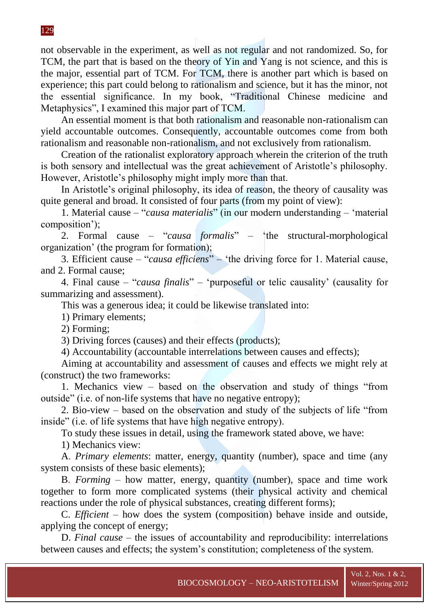129

not observable in the experiment, as well as not regular and not randomized. So, for TCM, the part that is based on the theory of Yin and Yang is not science, and this is the major, essential part of TCM. For TCM, there is another part which is based on experience; this part could belong to rationalism and science, but it has the minor, not the essential significance. In my book, "Traditional Chinese medicine and Metaphysics", I examined this major part of TCM.

An essential moment is that both rationalism and reasonable non-rationalism can yield accountable outcomes. Consequently, accountable outcomes come from both rationalism and reasonable non-rationalism, and not exclusively from rationalism.

Creation of the rationalist exploratory approach wherein the criterion of the truth is both sensory and intellectual was the great achievement of Aristotle"s philosophy. However, Aristotle's philosophy might imply more than that.

In Aristotle"s original philosophy, its idea of reason, the theory of causality was quite general and broad. It consisted of four parts (from my point of view):

1. Material cause – "*causa materialis*" (in our modern understanding – "material composition");

2. Formal cause – "*causa formalis*" – "the structural-morphological organization" (the program for formation);

3. Efficient cause – "*causa efficiens*" – "the driving force for 1. Material cause, and 2. Formal cause;

4. Final cause – "*causa finalis*" – "purposeful or telic causality" (causality for summarizing and assessment).

This was a generous idea; it could be likewise translated into:

1) Primary elements;

2) Forming;

3) Driving forces (causes) and their effects (products);

4) Accountability (accountable interrelations between causes and effects);

Aiming at accountability and assessment of causes and effects we might rely at (construct) the two frameworks:

1. Mechanics view – based on the observation and study of things "from outside" (i.e. of non-life systems that have no negative entropy);

2. Bio-view – based on the observation and study of the subjects of life "from inside" (i.e. of life systems that have high negative entropy).

To study these issues in detail, using the framework stated above, we have:

1) Mechanics view:

A. *Primary elements*: matter, energy, quantity (number), space and time (any system consists of these basic elements);

B. *Forming* – how matter, energy, quantity (number), space and time work together to form more complicated systems (their physical activity and chemical reactions under the role of physical substances, creating different forms);

C. *Efficient* – how does the system (composition) behave inside and outside, applying the concept of energy;

D. *Final cause* – the issues of accountability and reproducibility: interrelations between causes and effects; the system's constitution; completeness of the system.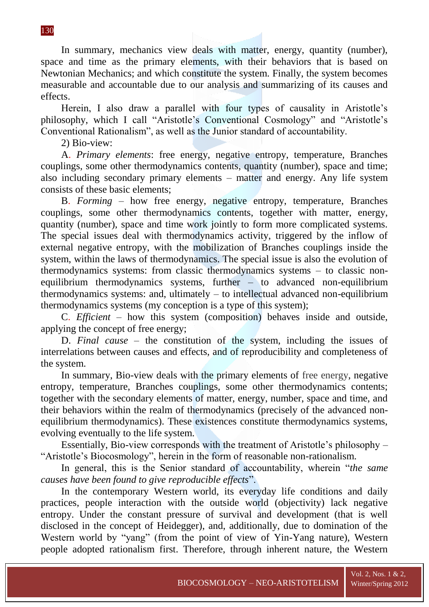In summary, mechanics view deals with matter, energy, quantity (number), space and time as the primary elements, with their behaviors that is based on Newtonian Mechanics; and which constitute the system. Finally, the system becomes measurable and accountable due to our analysis and summarizing of its causes and effects.

Herein, I also draw a parallel with four types of causality in Aristotle's philosophy, which I call "Aristotle"s Conventional Cosmology" and "Aristotle"s Conventional Rationalism", as well as the Junior standard of accountability.

2) Bio-view:

A. *Primary elements*: free energy, negative entropy, temperature, Branches couplings, some other thermodynamics contents, quantity (number), space and time; also including secondary primary elements – matter and energy. Any life system consists of these basic elements;

B. *Forming* – how free energy, negative entropy, temperature, Branches couplings, some other thermodynamics contents, together with matter, energy, quantity (number), space and time work jointly to form more complicated systems. The special issues deal with thermodynamics activity, triggered by the inflow of external negative entropy, with the mobilization of Branches couplings inside the system, within the laws of thermodynamics. The special issue is also the evolution of thermodynamics systems: from classic thermodynamics systems – to classic nonequilibrium thermodynamics systems, further – to advanced non-equilibrium thermodynamics systems: and, ultimately – to intellectual advanced non-equilibrium thermodynamics systems (my conception is a type of this system);

C. *Efficient* – how this system (composition) behaves inside and outside, applying the concept of free energy;

D. *Final cause* – the constitution of the system, including the issues of interrelations between causes and effects, and of reproducibility and completeness of the system.

In summary, Bio-view deals with the primary elements of free energy, negative entropy, temperature, Branches couplings, some other thermodynamics contents; together with the secondary elements of matter, energy, number, space and time, and their behaviors within the realm of thermodynamics (precisely of the advanced nonequilibrium thermodynamics). These existences constitute thermodynamics systems, evolving eventually to the life system.

Essentially, Bio-view corresponds with the treatment of Aristotle"s philosophy – "Aristotle"s Biocosmology", herein in the form of reasonable non-rationalism.

In general, this is the Senior standard of accountability, wherein "*the same causes have been found to give reproducible effects*".

In the contemporary Western world, its everyday life conditions and daily practices, people interaction with the outside world (objectivity) lack negative entropy. Under the constant pressure of survival and development (that is well disclosed in the concept of Heidegger), and, additionally, due to domination of the Western world by "yang" (from the point of view of Yin-Yang nature), Western people adopted rationalism first. Therefore, through inherent nature, the Western

### 130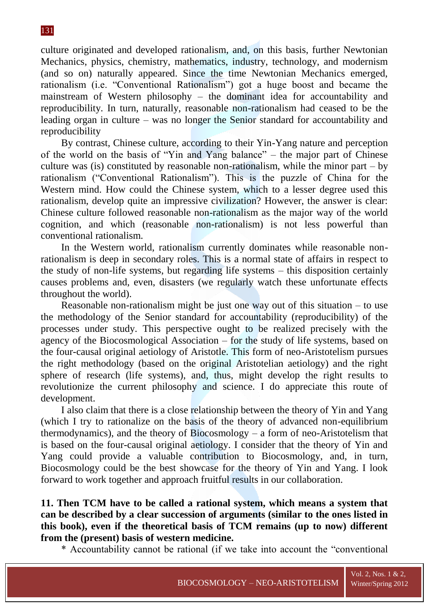131

culture originated and developed rationalism, and, on this basis, further Newtonian Mechanics, physics, chemistry, mathematics, industry, technology, and modernism (and so on) naturally appeared. Since the time Newtonian Mechanics emerged, rationalism (i.e. "Conventional Rationalism") got a huge boost and became the mainstream of Western philosophy – the dominant idea for accountability and reproducibility. In turn, naturally, reasonable non-rationalism had ceased to be the leading organ in culture – was no longer the Senior standard for accountability and reproducibility

By contrast, Chinese culture, according to their Yin-Yang nature and perception of the world on the basis of "Yin and Yang balance" – the major part of Chinese culture was (is) constituted by reasonable non-rationalism, while the minor part – by rationalism ("Conventional Rationalism"). This is the puzzle of China for the Western mind. How could the Chinese system, which to a lesser degree used this rationalism, develop quite an impressive civilization? However, the answer is clear: Chinese culture followed reasonable non-rationalism as the major way of the world cognition, and which (reasonable non-rationalism) is not less powerful than conventional rationalism.

In the Western world, rationalism currently dominates while reasonable nonrationalism is deep in secondary roles. This is a normal state of affairs in respect to the study of non-life systems, but regarding life systems – this disposition certainly causes problems and, even, disasters (we regularly watch these unfortunate effects throughout the world).

Reasonable non-rationalism might be just one way out of this situation – to use the methodology of the Senior standard for accountability (reproducibility) of the processes under study. This perspective ought to be realized precisely with the agency of the Biocosmological Association – for the study of life systems, based on the four-causal original aetiology of Aristotle. This form of neo-Aristotelism pursues the right methodology (based on the original Aristotelian aetiology) and the right sphere of research (life systems), and, thus, might develop the right results to revolutionize the current philosophy and science. I do appreciate this route of development.

I also claim that there is a close relationship between the theory of Yin and Yang (which I try to rationalize on the basis of the theory of advanced non-equilibrium thermodynamics), and the theory of Biocosmology – a form of neo-Aristotelism that is based on the four-causal original aetiology. I consider that the theory of Yin and Yang could provide a valuable contribution to Biocosmology, and, in turn, Biocosmology could be the best showcase for the theory of Yin and Yang. I look forward to work together and approach fruitful results in our collaboration.

### **11. Then TCM have to be called a rational system, which means a system that can be described by a clear succession of arguments (similar to the ones listed in this book), even if the theoretical basis of TCM remains (up to now) different from the (present) basis of western medicine.**

\* Accountability cannot be rational (if we take into account the "conventional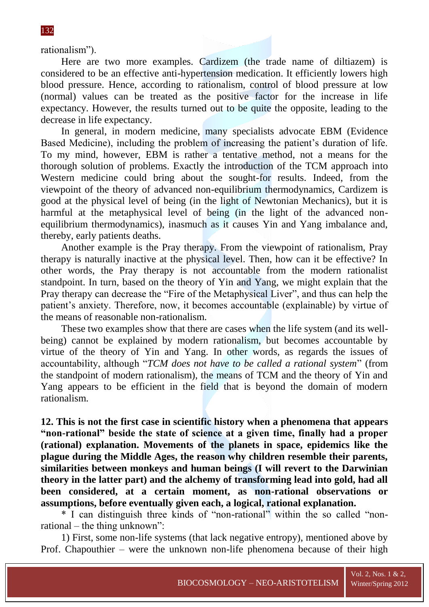rationalism").

Here are two more examples. Cardizem (the trade name of diltiazem) is considered to be an effective anti-hypertension medication. It efficiently lowers high blood pressure. Hence, according to rationalism, control of blood pressure at low (normal) values can be treated as the positive factor for the increase in life expectancy. However, the results turned out to be quite the opposite, leading to the decrease in life expectancy.

In general, in modern medicine, many specialists advocate EBM (Evidence Based Medicine), including the problem of increasing the patient's duration of life. To my mind, however, EBM is rather a tentative method, not a means for the thorough solution of problems. Exactly the introduction of the TCM approach into Western medicine could bring about the sought-for results. Indeed, from the viewpoint of the theory of advanced non-equilibrium thermodynamics, Cardizem is good at the physical level of being (in the light of Newtonian Mechanics), but it is harmful at the metaphysical level of being (in the light of the advanced nonequilibrium thermodynamics), inasmuch as it causes Yin and Yang imbalance and, thereby, early patients deaths.

Another example is the Pray therapy. From the viewpoint of rationalism, Pray therapy is naturally inactive at the physical level. Then, how can it be effective? In other words, the Pray therapy is not accountable from the modern rationalist standpoint. In turn, based on the theory of Yin and Yang, we might explain that the Pray therapy can decrease the "Fire of the Metaphysical Liver", and thus can help the patient"s anxiety. Therefore, now, it becomes accountable (explainable) by virtue of the means of reasonable non-rationalism.

These two examples show that there are cases when the life system (and its wellbeing) cannot be explained by modern rationalism, but becomes accountable by virtue of the theory of Yin and Yang. In other words, as regards the issues of accountability, although "*TCM does not have to be called a rational system*" (from the standpoint of modern rationalism), the means of TCM and the theory of Yin and Yang appears to be efficient in the field that is beyond the domain of modern rationalism.

**12. This is not the first case in scientific history when a phenomena that appears "non-rational" beside the state of science at a given time, finally had a proper (rational) explanation. Movements of the planets in space, epidemics like the plague during the Middle Ages, the reason why children resemble their parents, similarities between monkeys and human beings (I will revert to the Darwinian theory in the latter part) and the alchemy of transforming lead into gold, had all been considered, at a certain moment, as non-rational observations or assumptions, before eventually given each, a logical, rational explanation.** 

\* I can distinguish three kinds of "non-rational" within the so called "nonrational – the thing unknown":

1) First, some non-life systems (that lack negative entropy), mentioned above by Prof. Chapouthier – were the unknown non-life phenomena because of their high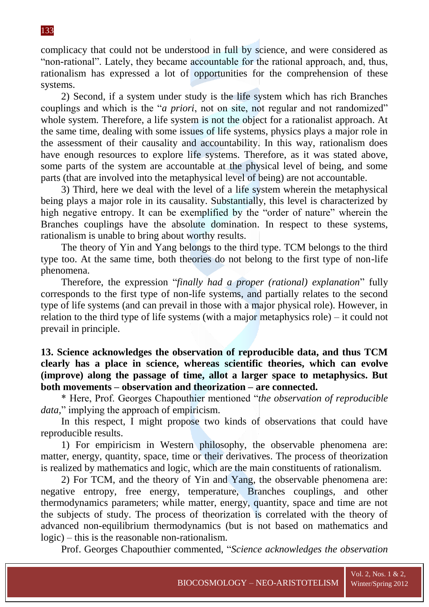complicacy that could not be understood in full by science, and were considered as "non-rational". Lately, they became accountable for the rational approach, and, thus, rationalism has expressed a lot of opportunities for the comprehension of these systems.

2) Second, if a system under study is the life system which has rich Branches couplings and which is the "*a priori*, not on site, not regular and not randomized" whole system. Therefore, a life system is not the object for a rationalist approach. At the same time, dealing with some issues of life systems, physics plays a major role in the assessment of their causality and accountability. In this way, rationalism does have enough resources to explore life systems. Therefore, as it was stated above, some parts of the system are accountable at the physical level of being, and some parts (that are involved into the metaphysical level of being) are not accountable.

3) Third, here we deal with the level of a life system wherein the metaphysical being plays a major role in its causality. Substantially, this level is characterized by high negative entropy. It can be exemplified by the "order of nature" wherein the Branches couplings have the absolute domination. In respect to these systems, rationalism is unable to bring about worthy results.

The theory of Yin and Yang belongs to the third type. TCM belongs to the third type too. At the same time, both theories do not belong to the first type of non-life phenomena.

Therefore, the expression "*finally had a proper (rational) explanation*" fully corresponds to the first type of non-life systems, and partially relates to the second type of life systems (and can prevail in those with a major physical role). However, in relation to the third type of life systems (with a major metaphysics role) – it could not prevail in principle.

### **13. Science acknowledges the observation of reproducible data, and thus TCM clearly has a place in science, whereas scientific theories, which can evolve (improve) along the passage of time, allot a larger space to metaphysics. But both movements – observation and theorization – are connected.**

\* Here, Prof. Georges Chapouthier mentioned "*the observation of reproducible data,*" implying the approach of empiricism.

In this respect, I might propose two kinds of observations that could have reproducible results.

1) For empiricism in Western philosophy, the observable phenomena are: matter, energy, quantity, space, time or their derivatives. The process of theorization is realized by mathematics and logic, which are the main constituents of rationalism.

2) For TCM, and the theory of Yin and Yang, the observable phenomena are: negative entropy, free energy, temperature, Branches couplings, and other thermodynamics parameters; while matter, energy, quantity, space and time are not the subjects of study. The process of theorization is correlated with the theory of advanced non-equilibrium thermodynamics (but is not based on mathematics and logic) – this is the reasonable non-rationalism.

Prof. Georges Chapouthier commented, "*Science acknowledges the observation* 

Vol. 2, Nos. 1 & 2,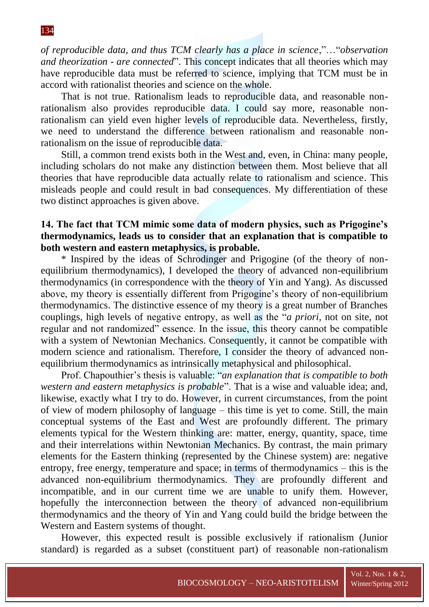*of reproducible data, and thus TCM clearly has a place in science*,"…"*observation and theorization - are connected*". This concept indicates that all theories which may have reproducible data must be referred to science, implying that TCM must be in accord with rationalist theories and science on the whole.

That is not true. Rationalism leads to reproducible data, and reasonable nonrationalism also provides reproducible data. I could say more, reasonable nonrationalism can yield even higher levels of reproducible data. Nevertheless, firstly, we need to understand the difference between rationalism and reasonable nonrationalism on the issue of reproducible data.

Still, a common trend exists both in the West and, even, in China: many people, including scholars do not make any distinction between them. Most believe that all theories that have reproducible data actually relate to rationalism and science. This misleads people and could result in bad consequences. My differentiation of these two distinct approaches is given above.

### **14. The fact that TCM mimic some data of modern physics, such as Prigogine"s thermodynamics, leads us to consider that an explanation that is compatible to both western and eastern metaphysics, is probable.**

\* Inspired by the ideas of Schrodinger and Prigogine (of the theory of nonequilibrium thermodynamics), I developed the theory of advanced non-equilibrium thermodynamics (in correspondence with the theory of Yin and Yang). As discussed above, my theory is essentially different from Prigogine"s theory of non-equilibrium thermodynamics. The distinctive essence of my theory is a great number of Branches couplings, high levels of negative entropy, as well as the "*a priori*, not on site, not regular and not randomized" essence. In the issue, this theory cannot be compatible with a system of Newtonian Mechanics. Consequently, it cannot be compatible with modern science and rationalism. Therefore, I consider the theory of advanced nonequilibrium thermodynamics as intrinsically metaphysical and philosophical.

Prof. Chapouthier"s thesis is valuable: "*an explanation that is compatible to both western and eastern metaphysics is probable*". That is a wise and valuable idea; and, likewise, exactly what I try to do. However, in current circumstances, from the point of view of modern philosophy of language – this time is yet to come. Still, the main conceptual systems of the East and West are profoundly different. The primary elements typical for the Western thinking are: matter, energy, quantity, space, time and their interrelations within Newtonian Mechanics. By contrast, the main primary elements for the Eastern thinking (represented by the Chinese system) are: negative entropy, free energy, temperature and space; in terms of thermodynamics – this is the advanced non-equilibrium thermodynamics. They are profoundly different and incompatible, and in our current time we are unable to unify them. However, hopefully the interconnection between the theory of advanced non-equilibrium thermodynamics and the theory of Yin and Yang could build the bridge between the Western and Eastern systems of thought.

However, this expected result is possible exclusively if rationalism (Junior standard) is regarded as a subset (constituent part) of reasonable non-rationalism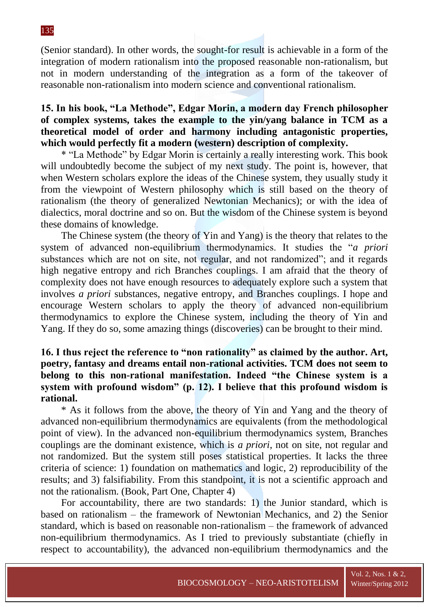(Senior standard). In other words, the sought-for result is achievable in a form of the integration of modern rationalism into the proposed reasonable non-rationalism, but not in modern understanding of the integration as a form of the takeover of reasonable non-rationalism into modern science and conventional rationalism.

## **15. In his book, "La Methode", Edgar Morin, a modern day French philosopher of complex systems, takes the example to the yin/yang balance in TCM as a theoretical model of order and harmony including antagonistic properties, which would perfectly fit a modern (western) description of complexity.**

\* "La Methode" by Edgar Morin is certainly a really interesting work. This book will undoubtedly become the subject of my next study. The point is, however, that when Western scholars explore the ideas of the Chinese system, they usually study it from the viewpoint of Western philosophy which is still based on the theory of rationalism (the theory of generalized Newtonian Mechanics); or with the idea of dialectics, moral doctrine and so on. But the wisdom of the Chinese system is beyond these domains of knowledge.

The Chinese system (the theory of Yin and Yang) is the theory that relates to the system of advanced non-equilibrium thermodynamics. It studies the "*a priori* substances which are not on site, not regular, and not randomized"; and it regards high negative entropy and rich Branches couplings. I am afraid that the theory of complexity does not have enough resources to adequately explore such a system that involves *a priori* substances, negative entropy, and Branches couplings. I hope and encourage Western scholars to apply the theory of advanced non-equilibrium thermodynamics to explore the Chinese system, including the theory of Yin and Yang. If they do so, some amazing things (discoveries) can be brought to their mind.

### **16. I thus reject the reference to "non rationality" as claimed by the author. Art, poetry, fantasy and dreams entail non-rational activities. TCM does not seem to belong to this non-rational manifestation. Indeed "the Chinese system is a system with profound wisdom" (p. 12). I believe that this profound wisdom is rational.**

\* As it follows from the above, the theory of Yin and Yang and the theory of advanced non-equilibrium thermodynamics are equivalents (from the methodological point of view). In the advanced non-equilibrium thermodynamics system, Branches couplings are the dominant existence, which is *a priori*, not on site, not regular and not randomized. But the system still poses statistical properties. It lacks the three criteria of science: 1) foundation on mathematics and logic, 2) reproducibility of the results; and 3) falsifiability. From this standpoint, it is not a scientific approach and not the rationalism. (Book, Part One, Chapter 4)

For accountability, there are two standards: 1) the Junior standard, which is based on rationalism – the framework of Newtonian Mechanics, and 2) the Senior standard, which is based on reasonable non-rationalism – the framework of advanced non-equilibrium thermodynamics. As I tried to previously substantiate (chiefly in respect to accountability), the advanced non-equilibrium thermodynamics and the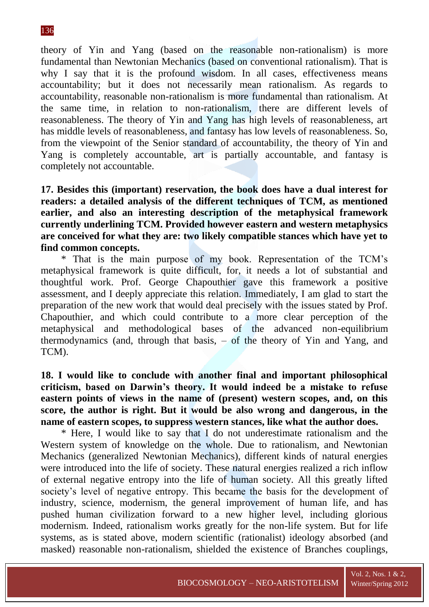theory of Yin and Yang (based on the reasonable non-rationalism) is more fundamental than Newtonian Mechanics (based on conventional rationalism). That is why I say that it is the profound wisdom. In all cases, effectiveness means accountability; but it does not necessarily mean rationalism. As regards to accountability, reasonable non-rationalism is more fundamental than rationalism. At the same time, in relation to non-rationalism, there are different levels of reasonableness. The theory of Yin and Yang has high levels of reasonableness, art has middle levels of reasonableness, and fantasy has low levels of reasonableness. So, from the viewpoint of the Senior standard of accountability, the theory of Yin and Yang is completely accountable, art is partially accountable, and fantasy is completely not accountable.

## **17. Besides this (important) reservation, the book does have a dual interest for readers: a detailed analysis of the different techniques of TCM, as mentioned earlier, and also an interesting description of the metaphysical framework currently underlining TCM. Provided however eastern and western metaphysics are conceived for what they are: two likely compatible stances which have yet to find common concepts.**

\* That is the main purpose of my book. Representation of the TCM"s metaphysical framework is quite difficult, for, it needs a lot of substantial and thoughtful work. Prof. George Chapouthier gave this framework a positive assessment, and I deeply appreciate this relation. Immediately, I am glad to start the preparation of the new work that would deal precisely with the issues stated by Prof. Chapouthier, and which could contribute to a more clear perception of the metaphysical and methodological bases of the advanced non-equilibrium thermodynamics (and, through that basis, – of the theory of Yin and Yang, and TCM).

## **18. I would like to conclude with another final and important philosophical criticism, based on Darwin"s theory. It would indeed be a mistake to refuse eastern points of views in the name of (present) western scopes, and, on this score, the author is right. But it would be also wrong and dangerous, in the name of eastern scopes, to suppress western stances, like what the author does.**

\* Here, I would like to say that I do not underestimate rationalism and the Western system of knowledge on the whole. Due to rationalism, and Newtonian Mechanics (generalized Newtonian Mechanics), different kinds of natural energies were introduced into the life of society. These natural energies realized a rich inflow of external negative entropy into the life of human society. All this greatly lifted society's level of negative entropy. This became the basis for the development of industry, science, modernism, the general improvement of human life, and has pushed human civilization forward to a new higher level, including glorious modernism. Indeed, rationalism works greatly for the non-life system. But for life systems, as is stated above, modern scientific (rationalist) ideology absorbed (and masked) reasonable non-rationalism, shielded the existence of Branches couplings,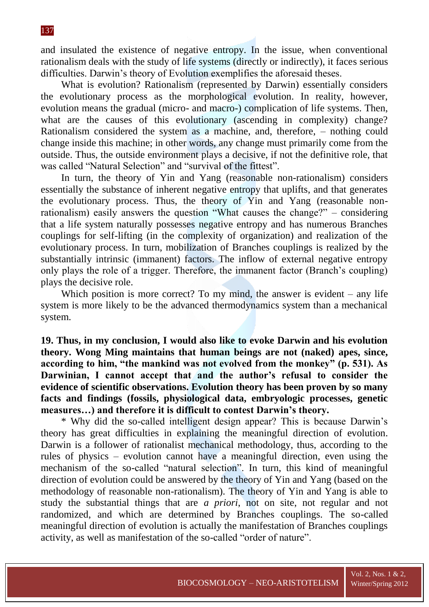and insulated the existence of negative entropy. In the issue, when conventional rationalism deals with the study of life systems (directly or indirectly), it faces serious difficulties. Darwin"s theory of Evolution exemplifies the aforesaid theses.

What is evolution? Rationalism (represented by Darwin) essentially considers the evolutionary process as the morphological evolution. In reality, however, evolution means the gradual (micro- and macro-) complication of life systems. Then, what are the causes of this evolutionary (ascending in complexity) change? Rationalism considered the system as a machine, and, therefore, – nothing could change inside this machine; in other words, any change must primarily come from the outside. Thus, the outside environment plays a decisive, if not the definitive role, that was called "Natural Selection" and "survival of the fittest".

In turn, the theory of Yin and Yang (reasonable non-rationalism) considers essentially the substance of inherent negative entropy that uplifts, and that generates the evolutionary process. Thus, the theory of Yin and Yang (reasonable nonrationalism) easily answers the question "What causes the change?" – considering that a life system naturally possesses negative entropy and has numerous Branches couplings for self-lifting (in the complexity of organization) and realization of the evolutionary process. In turn, mobilization of Branches couplings is realized by the substantially intrinsic (immanent) factors. The inflow of external negative entropy only plays the role of a trigger. Therefore, the immanent factor (Branch"s coupling) plays the decisive role.

Which position is more correct? To my mind, the answer is evident  $-$  any life system is more likely to be the advanced thermodynamics system than a mechanical system.

**19. Thus, in my conclusion, I would also like to evoke Darwin and his evolution theory. Wong Ming maintains that human beings are not (naked) apes, since, according to him, "the mankind was not evolved from the monkey" (p. 531). As**  Darwinian, I cannot accept that and the author's refusal to consider the **evidence of scientific observations. Evolution theory has been proven by so many facts and findings (fossils, physiological data, embryologic processes, genetic**  measures...) and therefore it is difficult to contest Darwin's theory.

\* Why did the so-called intelligent design appear? This is because Darwin"s theory has great difficulties in explaining the meaningful direction of evolution. Darwin is a follower of rationalist mechanical methodology, thus, according to the rules of physics – evolution cannot have a meaningful direction, even using the mechanism of the so-called "natural selection". In turn, this kind of meaningful direction of evolution could be answered by the theory of Yin and Yang (based on the methodology of reasonable non-rationalism). The theory of Yin and Yang is able to study the substantial things that are *a priori*, not on site, not regular and not randomized, and which are determined by Branches couplings. The so-called meaningful direction of evolution is actually the manifestation of Branches couplings activity, as well as manifestation of the so-called "order of nature".